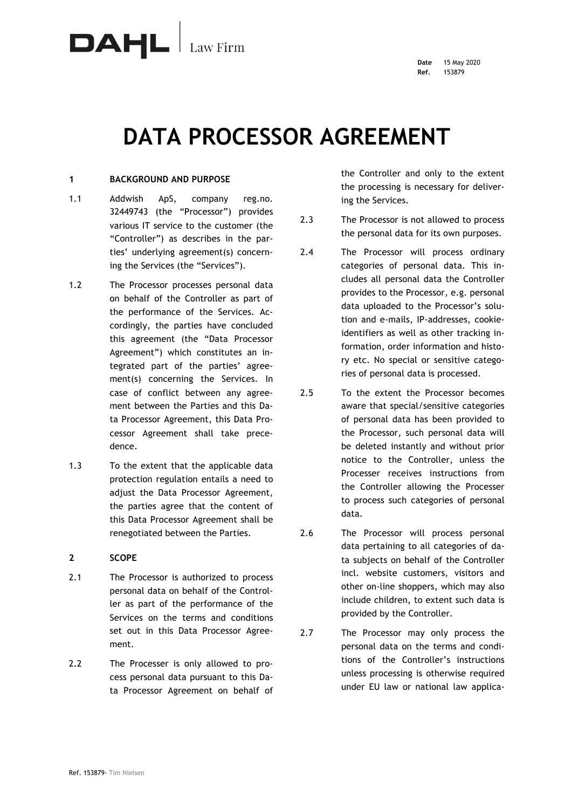

# **DATA PROCESSOR AGREEMENT**

# **1 BACKGROUND AND PURPOSE**

- 1.1 Addwish ApS, company reg.no. 32449743 (the "Processor") provides various IT service to the customer (the "Controller") as describes in the parties' underlying agreement(s) concerning the Services (the "Services").
- 1.2 The Processor processes personal data on behalf of the Controller as part of the performance of the Services. Accordingly, the parties have concluded this agreement (the "Data Processor Agreement") which constitutes an integrated part of the parties' agreement(s) concerning the Services. In case of conflict between any agreement between the Parties and this Data Processor Agreement, this Data Processor Agreement shall take precedence.
- 1.3 To the extent that the applicable data protection regulation entails a need to adjust the Data Processor Agreement, the parties agree that the content of this Data Processor Agreement shall be renegotiated between the Parties.

# **2 SCOPE**

- 2.1 The Processor is authorized to process personal data on behalf of the Controller as part of the performance of the Services on the terms and conditions set out in this Data Processor Agreement.
- 2.2 The Processer is only allowed to process personal data pursuant to this Data Processor Agreement on behalf of

the Controller and only to the extent the processing is necessary for delivering the Services.

- 2.3 The Processor is not allowed to process the personal data for its own purposes.
- 2.4 The Processor will process ordinary categories of personal data. This includes all personal data the Controller provides to the Processor, e.g. personal data uploaded to the Processor's solution and e-mails, IP-addresses, cookieidentifiers as well as other tracking information, order information and history etc. No special or sensitive categories of personal data is processed.
- 2.5 To the extent the Processor becomes aware that special/sensitive categories of personal data has been provided to the Processor, such personal data will be deleted instantly and without prior notice to the Controller, unless the Processer receives instructions from the Controller allowing the Processer to process such categories of personal data.
- 2.6 The Processor will process personal data pertaining to all categories of data subjects on behalf of the Controller incl. website customers, visitors and other on-line shoppers, which may also include children, to extent such data is provided by the Controller.
- 2.7 The Processor may only process the personal data on the terms and conditions of the Controller's instructions unless processing is otherwise required under EU law or national law applica-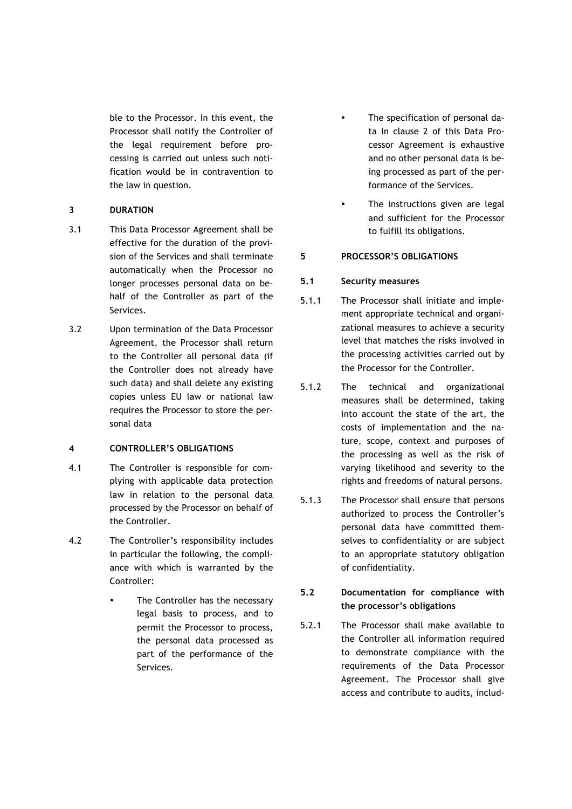ble to the Processor. In this event, the Processor shall notify the Controller of the legal requirement before processing is carried out unless such notification would be in contravention to the law in question.

# **3 DURATION**

- 3.1 This Data Processor Agreement shall be effective for the duration of the provision of the Services and shall terminate automatically when the Processor no longer processes personal data on behalf of the Controller as part of the Services.
- 3.2 Upon termination of the Data Processor Agreement, the Processor shall return to the Controller all personal data (if the Controller does not already have such data) and shall delete any existing copies unless EU law or national law requires the Processor to store the personal data

# **4 CONTROLLER'S OBLIGATIONS**

- 4.1 The Controller is responsible for complying with applicable data protection law in relation to the personal data processed by the Processor on behalf of the Controller.
- 4.2 The Controller's responsibility includes in particular the following, the compliance with which is warranted by the Controller:
	- The Controller has the necessary legal basis to process, and to permit the Processor to process, the personal data processed as part of the performance of the Services.
- The specification of personal data in clause 2 of this Data Processor Agreement is exhaustive and no other personal data is being processed as part of the performance of the Services.
- The instructions given are legal and sufficient for the Processor to fulfill its obligations.

# **5 PROCESSOR'S OBLIGATIONS**

# **5.1 Security measures**

- 5.1.1 The Processor shall initiate and implement appropriate technical and organizational measures to achieve a security level that matches the risks involved in the processing activities carried out by the Processor for the Controller.
- 5.1.2 The technical and organizational measures shall be determined, taking into account the state of the art, the costs of implementation and the nature, scope, context and purposes of the processing as well as the risk of varying likelihood and severity to the rights and freedoms of natural persons.
- 5.1.3 The Processor shall ensure that persons authorized to process the Controller's personal data have committed themselves to confidentiality or are subject to an appropriate statutory obligation of confidentiality.

# **5.2 Documentation for compliance with the processor's obligations**

5.2.1 The Processor shall make available to the Controller all information required to demonstrate compliance with the requirements of the Data Processor Agreement. The Processor shall give access and contribute to audits, includ-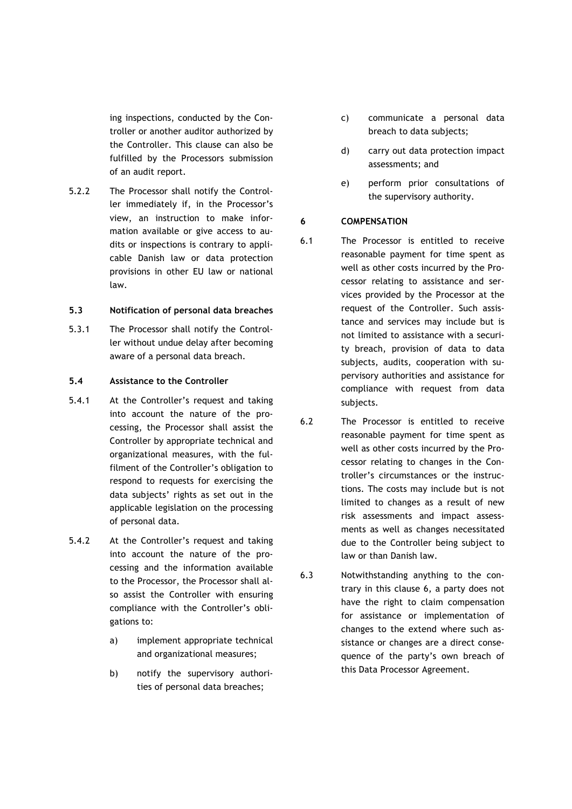ing inspections, conducted by the Controller or another auditor authorized by the Controller. This clause can also be fulfilled by the Processors submission of an audit report.

5.2.2 The Processor shall notify the Controller immediately if, in the Processor's view, an instruction to make information available or give access to audits or inspections is contrary to applicable Danish law or data protection provisions in other EU law or national law.

#### **5.3 Notification of personal data breaches**

5.3.1 The Processor shall notify the Controller without undue delay after becoming aware of a personal data breach.

## **5.4 Assistance to the Controller**

- 5.4.1 At the Controller's request and taking into account the nature of the processing, the Processor shall assist the Controller by appropriate technical and organizational measures, with the fulfilment of the Controller's obligation to respond to requests for exercising the data subjects' rights as set out in the applicable legislation on the processing of personal data.
- 5.4.2 At the Controller's request and taking into account the nature of the processing and the information available to the Processor, the Processor shall also assist the Controller with ensuring compliance with the Controller's obligations to:
	- a) implement appropriate technical and organizational measures;
	- b) notify the supervisory authorities of personal data breaches;
- c) communicate a personal data breach to data subjects;
- d) carry out data protection impact assessments; and
- e) perform prior consultations of the supervisory authority.

## **6 COMPENSATION**

- 6.1 The Processor is entitled to receive reasonable payment for time spent as well as other costs incurred by the Processor relating to assistance and services provided by the Processor at the request of the Controller. Such assistance and services may include but is not limited to assistance with a security breach, provision of data to data subjects, audits, cooperation with supervisory authorities and assistance for compliance with request from data subjects.
- 6.2 The Processor is entitled to receive reasonable payment for time spent as well as other costs incurred by the Processor relating to changes in the Controller's circumstances or the instructions. The costs may include but is not limited to changes as a result of new risk assessments and impact assessments as well as changes necessitated due to the Controller being subject to law or than Danish law.
- 6.3 Notwithstanding anything to the contrary in this clause 6, a party does not have the right to claim compensation for assistance or implementation of changes to the extend where such assistance or changes are a direct consequence of the party's own breach of this Data Processor Agreement.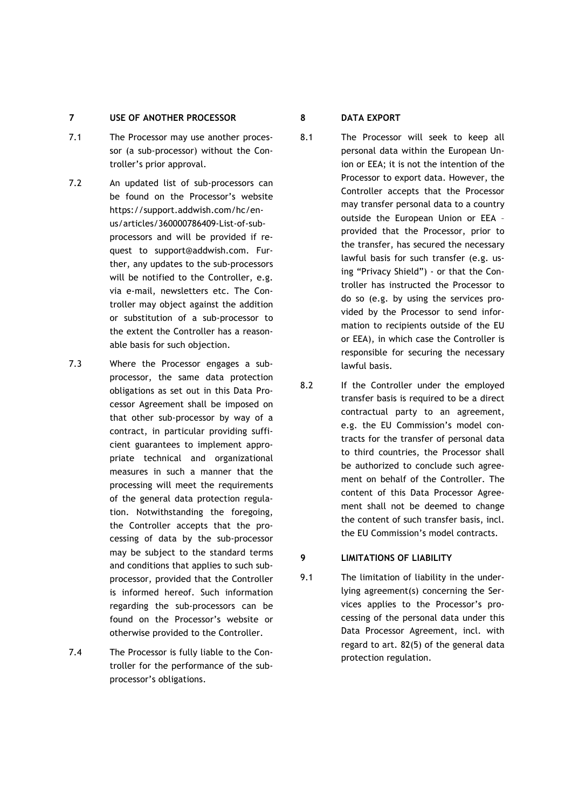# **7 USE OF ANOTHER PROCESSOR**

- 7.1 The Processor may use another processor (a sub-processor) without the Controller's prior approval.
- 7.2 An updated list of sub-processors can be found on the Processor's website https://support.addwish.com/hc/enus/articles/360000786409-List-of-subprocessors and will be provided if request to support@addwish.com. Further, any updates to the sub-processors will be notified to the Controller, e.g. via e-mail, newsletters etc. The Controller may object against the addition or substitution of a sub-processor to the extent the Controller has a reasonable basis for such objection.
- 7.3 Where the Processor engages a subprocessor, the same data protection obligations as set out in this Data Processor Agreement shall be imposed on that other sub-processor by way of a contract, in particular providing sufficient guarantees to implement appropriate technical and organizational measures in such a manner that the processing will meet the requirements of the general data protection regulation. Notwithstanding the foregoing, the Controller accepts that the processing of data by the sub-processor may be subject to the standard terms and conditions that applies to such subprocessor, provided that the Controller is informed hereof. Such information regarding the sub-processors can be found on the Processor's website or otherwise provided to the Controller.
- 7.4 The Processor is fully liable to the Controller for the performance of the subprocessor's obligations.

# **8 DATA EXPORT**

- 8.1 The Processor will seek to keep all personal data within the European Union or EEA; it is not the intention of the Processor to export data. However, the Controller accepts that the Processor may transfer personal data to a country outside the European Union or EEA – provided that the Processor, prior to the transfer, has secured the necessary lawful basis for such transfer (e.g. using "Privacy Shield") - or that the Controller has instructed the Processor to do so (e.g. by using the services provided by the Processor to send information to recipients outside of the EU or EEA), in which case the Controller is responsible for securing the necessary lawful basis.
- 8.2 If the Controller under the employed transfer basis is required to be a direct contractual party to an agreement, e.g. the EU Commission's model contracts for the transfer of personal data to third countries, the Processor shall be authorized to conclude such agreement on behalf of the Controller. The content of this Data Processor Agreement shall not be deemed to change the content of such transfer basis, incl. the EU Commission's model contracts.

# **9 LIMITATIONS OF LIABILITY**

9.1 The limitation of liability in the underlying agreement(s) concerning the Services applies to the Processor's processing of the personal data under this Data Processor Agreement, incl. with regard to art. 82(5) of the general data protection regulation.